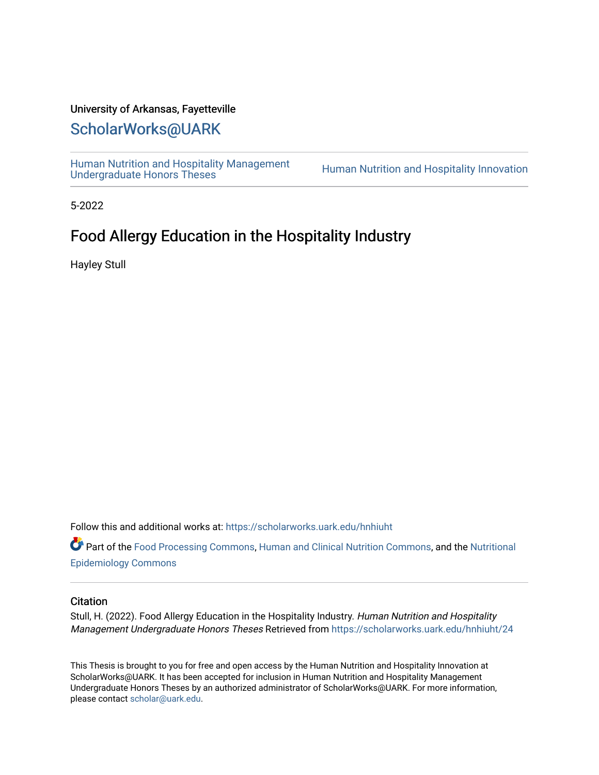#### University of Arkansas, Fayetteville

### [ScholarWorks@UARK](https://scholarworks.uark.edu/)

[Human Nutrition and Hospitality Management](https://scholarworks.uark.edu/hnhiuht)<br>Undergraduate Honors Theses

Human Nutrition and Hospitality Innovation

5-2022

## Food Allergy Education in the Hospitality Industry

Hayley Stull

Follow this and additional works at: [https://scholarworks.uark.edu/hnhiuht](https://scholarworks.uark.edu/hnhiuht?utm_source=scholarworks.uark.edu%2Fhnhiuht%2F24&utm_medium=PDF&utm_campaign=PDFCoverPages) 

Part of the [Food Processing Commons](http://network.bepress.com/hgg/discipline/85?utm_source=scholarworks.uark.edu%2Fhnhiuht%2F24&utm_medium=PDF&utm_campaign=PDFCoverPages), [Human and Clinical Nutrition Commons,](http://network.bepress.com/hgg/discipline/97?utm_source=scholarworks.uark.edu%2Fhnhiuht%2F24&utm_medium=PDF&utm_campaign=PDFCoverPages) and the [Nutritional](http://network.bepress.com/hgg/discipline/100?utm_source=scholarworks.uark.edu%2Fhnhiuht%2F24&utm_medium=PDF&utm_campaign=PDFCoverPages) [Epidemiology Commons](http://network.bepress.com/hgg/discipline/100?utm_source=scholarworks.uark.edu%2Fhnhiuht%2F24&utm_medium=PDF&utm_campaign=PDFCoverPages) 

#### **Citation**

Stull, H. (2022). Food Allergy Education in the Hospitality Industry. Human Nutrition and Hospitality Management Undergraduate Honors Theses Retrieved from [https://scholarworks.uark.edu/hnhiuht/24](https://scholarworks.uark.edu/hnhiuht/24?utm_source=scholarworks.uark.edu%2Fhnhiuht%2F24&utm_medium=PDF&utm_campaign=PDFCoverPages) 

This Thesis is brought to you for free and open access by the Human Nutrition and Hospitality Innovation at ScholarWorks@UARK. It has been accepted for inclusion in Human Nutrition and Hospitality Management Undergraduate Honors Theses by an authorized administrator of ScholarWorks@UARK. For more information, please contact [scholar@uark.edu](mailto:scholar@uark.edu).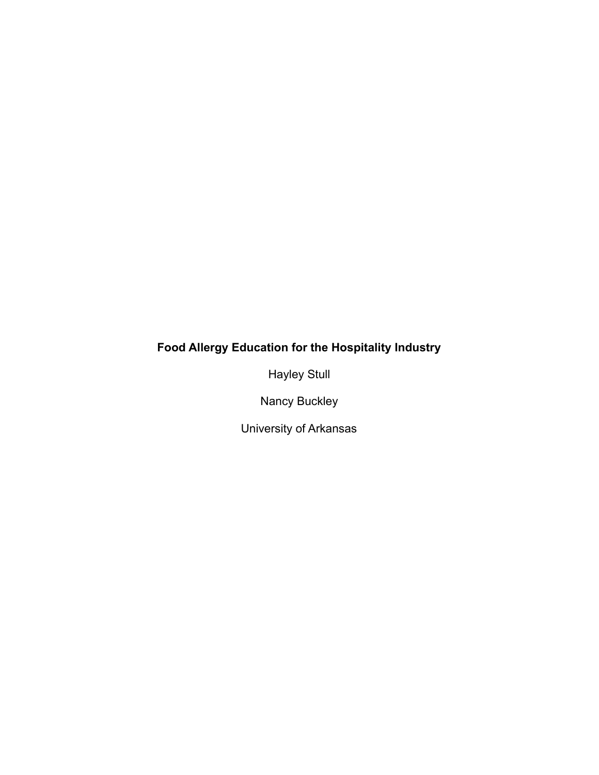## **Food Allergy Education for the Hospitality Industry**

Hayley Stull

Nancy Buckley

University of Arkansas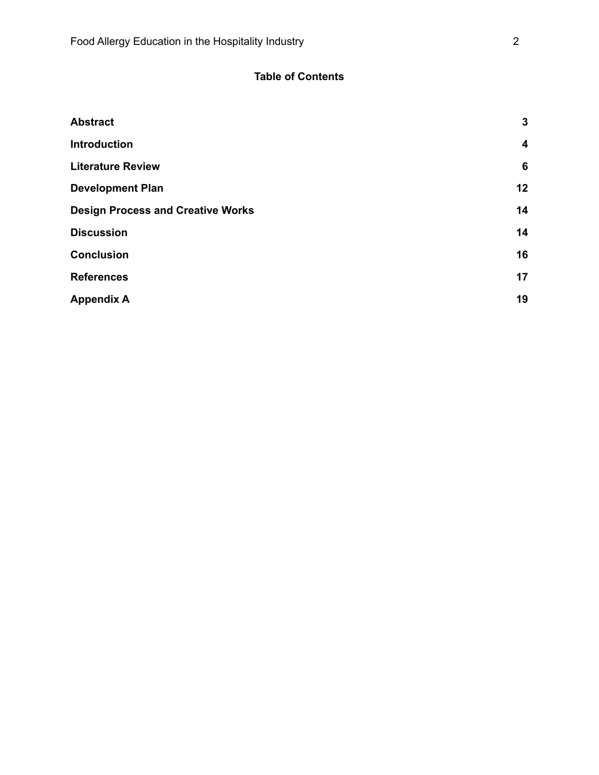### **Table of Contents**

| <b>Abstract</b>                          | $\mathbf{3}$     |
|------------------------------------------|------------------|
| <b>Introduction</b>                      | $\boldsymbol{4}$ |
| <b>Literature Review</b>                 | $6\phantom{1}6$  |
| <b>Development Plan</b>                  | 12               |
| <b>Design Process and Creative Works</b> | 14               |
| <b>Discussion</b>                        | 14               |
| <b>Conclusion</b>                        | 16               |
| <b>References</b>                        | 17               |
| <b>Appendix A</b>                        | 19               |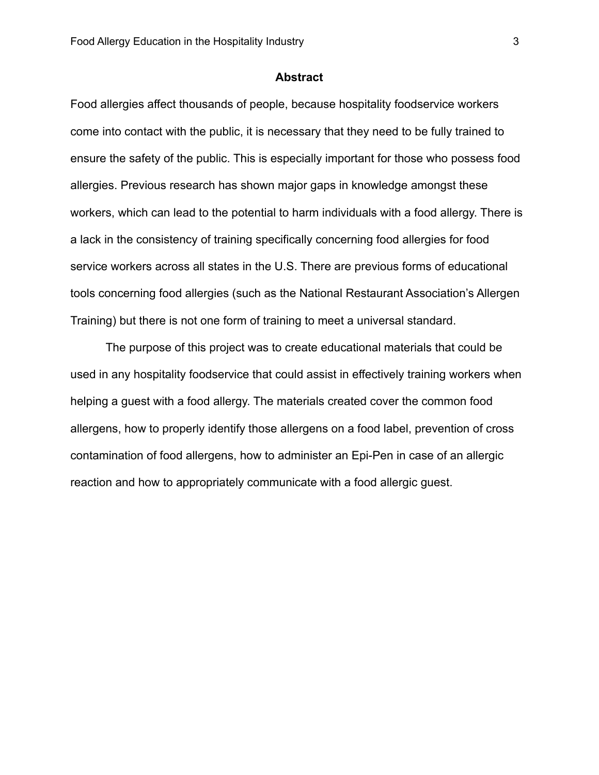#### **Abstract**

<span id="page-3-0"></span>Food allergies affect thousands of people, because hospitality foodservice workers come into contact with the public, it is necessary that they need to be fully trained to ensure the safety of the public. This is especially important for those who possess food allergies. Previous research has shown major gaps in knowledge amongst these workers, which can lead to the potential to harm individuals with a food allergy. There is a lack in the consistency of training specifically concerning food allergies for food service workers across all states in the U.S. There are previous forms of educational tools concerning food allergies (such as the National Restaurant Association's Allergen Training) but there is not one form of training to meet a universal standard.

The purpose of this project was to create educational materials that could be used in any hospitality foodservice that could assist in effectively training workers when helping a guest with a food allergy. The materials created cover the common food allergens, how to properly identify those allergens on a food label, prevention of cross contamination of food allergens, how to administer an Epi-Pen in case of an allergic reaction and how to appropriately communicate with a food allergic guest.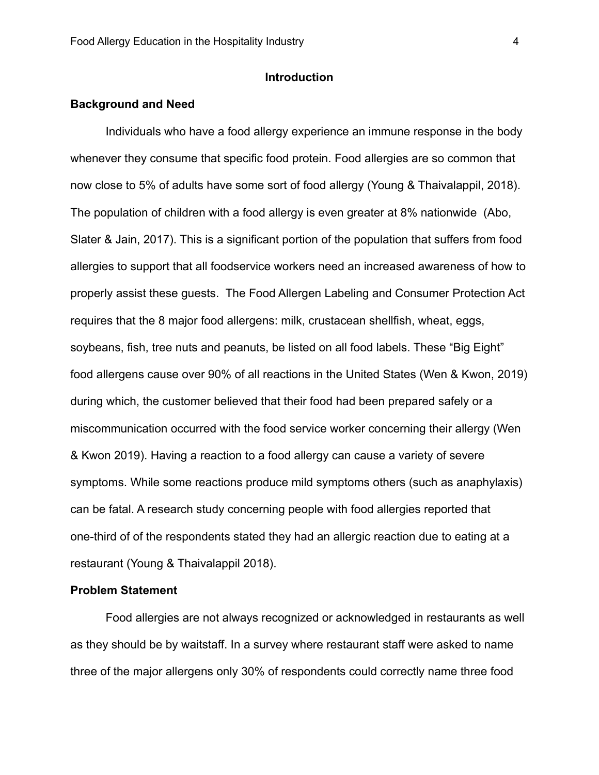#### **Introduction**

#### <span id="page-4-0"></span>**Background and Need**

Individuals who have a food allergy experience an immune response in the body whenever they consume that specific food protein. Food allergies are so common that now close to 5% of adults have some sort of food allergy (Young & Thaivalappil, 2018). The population of children with a food allergy is even greater at 8% nationwide (Abo, Slater & Jain, 2017). This is a significant portion of the population that suffers from food allergies to support that all foodservice workers need an increased awareness of how to properly assist these guests. The Food Allergen Labeling and Consumer Protection Act requires that the 8 major food allergens: milk, crustacean shellfish, wheat, eggs, soybeans, fish, tree nuts and peanuts, be listed on all food labels. These "Big Eight" food allergens cause over 90% of all reactions in the United States (Wen & Kwon, 2019) during which, the customer believed that their food had been prepared safely or a miscommunication occurred with the food service worker concerning their allergy (Wen & Kwon 2019). Having a reaction to a food allergy can cause a variety of severe symptoms. While some reactions produce mild symptoms others (such as anaphylaxis) can be fatal. A research study concerning people with food allergies reported that one-third of of the respondents stated they had an allergic reaction due to eating at a restaurant (Young & Thaivalappil 2018).

#### **Problem Statement**

Food allergies are not always recognized or acknowledged in restaurants as well as they should be by waitstaff. In a survey where restaurant staff were asked to name three of the major allergens only 30% of respondents could correctly name three food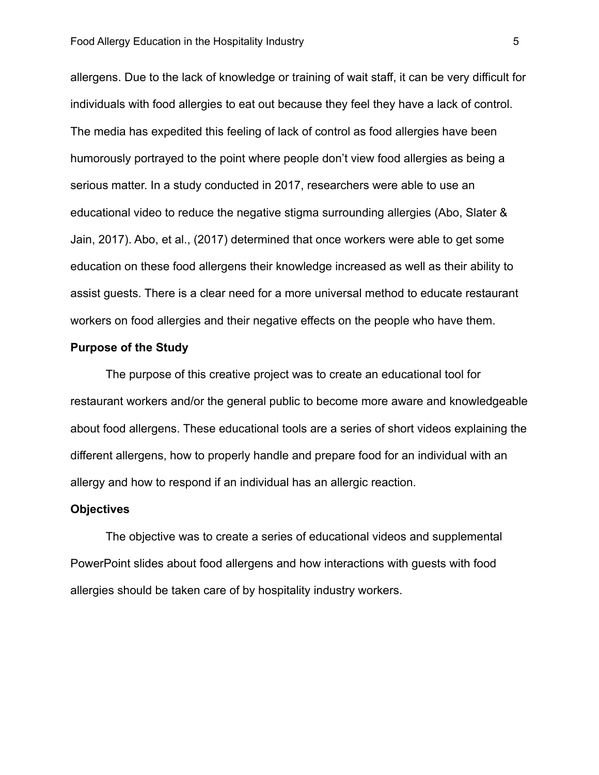allergens. Due to the lack of knowledge or training of wait staff, it can be very difficult for individuals with food allergies to eat out because they feel they have a lack of control. The media has expedited this feeling of lack of control as food allergies have been humorously portrayed to the point where people don't view food allergies as being a serious matter. In a study conducted in 2017, researchers were able to use an educational video to reduce the negative stigma surrounding allergies (Abo, Slater & Jain, 2017). Abo, et al., (2017) determined that once workers were able to get some education on these food allergens their knowledge increased as well as their ability to assist guests. There is a clear need for a more universal method to educate restaurant workers on food allergies and their negative effects on the people who have them.

#### **Purpose of the Study**

The purpose of this creative project was to create an educational tool for restaurant workers and/or the general public to become more aware and knowledgeable about food allergens. These educational tools are a series of short videos explaining the different allergens, how to properly handle and prepare food for an individual with an allergy and how to respond if an individual has an allergic reaction.

#### **Objectives**

The objective was to create a series of educational videos and supplemental PowerPoint slides about food allergens and how interactions with guests with food allergies should be taken care of by hospitality industry workers.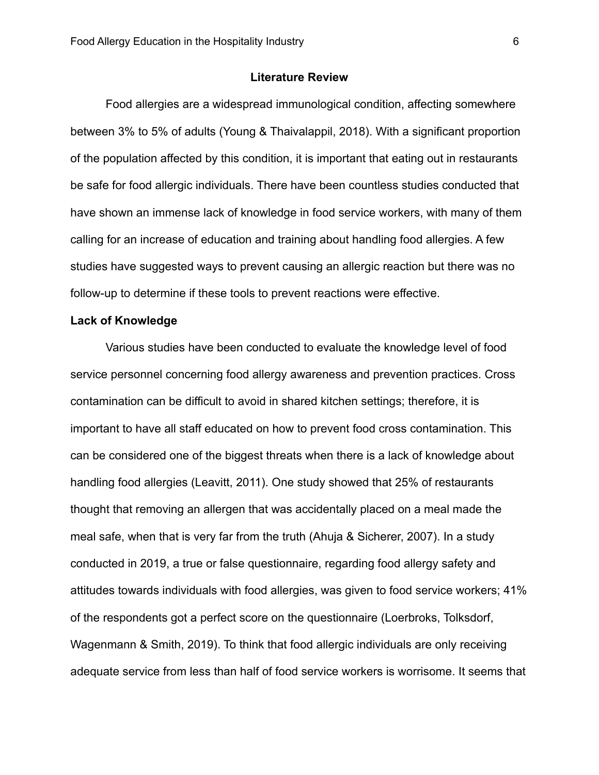#### **Literature Review**

<span id="page-6-0"></span>Food allergies are a widespread immunological condition, affecting somewhere between 3% to 5% of adults (Young & Thaivalappil, 2018). With a significant proportion of the population affected by this condition, it is important that eating out in restaurants be safe for food allergic individuals. There have been countless studies conducted that have shown an immense lack of knowledge in food service workers, with many of them calling for an increase of education and training about handling food allergies. A few studies have suggested ways to prevent causing an allergic reaction but there was no follow-up to determine if these tools to prevent reactions were effective.

#### **Lack of Knowledge**

Various studies have been conducted to evaluate the knowledge level of food service personnel concerning food allergy awareness and prevention practices. Cross contamination can be difficult to avoid in shared kitchen settings; therefore, it is important to have all staff educated on how to prevent food cross contamination. This can be considered one of the biggest threats when there is a lack of knowledge about handling food allergies (Leavitt, 2011). One study showed that 25% of restaurants thought that removing an allergen that was accidentally placed on a meal made the meal safe, when that is very far from the truth (Ahuja & Sicherer, 2007). In a study conducted in 2019, a true or false questionnaire, regarding food allergy safety and attitudes towards individuals with food allergies, was given to food service workers; 41% of the respondents got a perfect score on the questionnaire (Loerbroks, Tolksdorf, Wagenmann & Smith, 2019). To think that food allergic individuals are only receiving adequate service from less than half of food service workers is worrisome. It seems that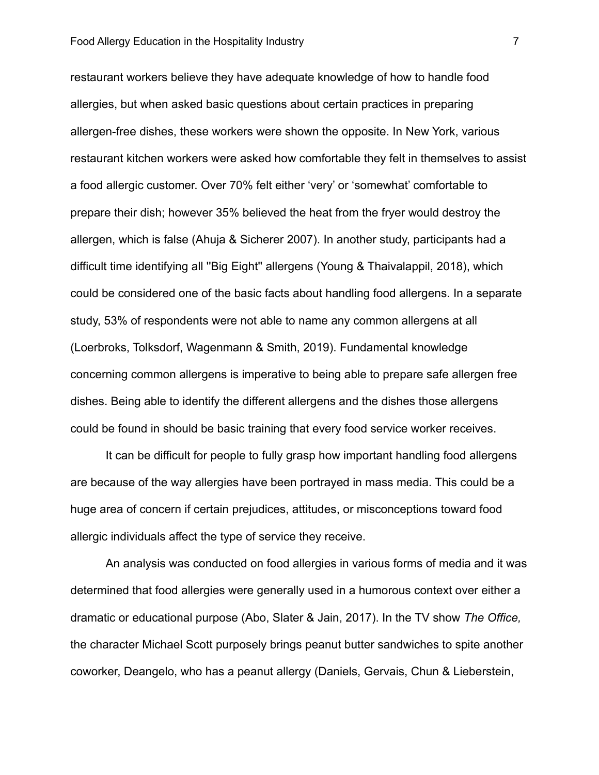restaurant workers believe they have adequate knowledge of how to handle food allergies, but when asked basic questions about certain practices in preparing allergen-free dishes, these workers were shown the opposite. In New York, various restaurant kitchen workers were asked how comfortable they felt in themselves to assist a food allergic customer. Over 70% felt either 'very' or 'somewhat' comfortable to prepare their dish; however 35% believed the heat from the fryer would destroy the allergen, which is false (Ahuja & Sicherer 2007). In another study, participants had a difficult time identifying all ''Big Eight'' allergens (Young & Thaivalappil, 2018), which could be considered one of the basic facts about handling food allergens. In a separate study, 53% of respondents were not able to name any common allergens at all (Loerbroks, Tolksdorf, Wagenmann & Smith, 2019). Fundamental knowledge concerning common allergens is imperative to being able to prepare safe allergen free dishes. Being able to identify the different allergens and the dishes those allergens could be found in should be basic training that every food service worker receives.

It can be difficult for people to fully grasp how important handling food allergens are because of the way allergies have been portrayed in mass media. This could be a huge area of concern if certain prejudices, attitudes, or misconceptions toward food allergic individuals affect the type of service they receive.

An analysis was conducted on food allergies in various forms of media and it was determined that food allergies were generally used in a humorous context over either a dramatic or educational purpose (Abo, Slater & Jain, 2017). In the TV show *The Office,* the character Michael Scott purposely brings peanut butter sandwiches to spite another coworker, Deangelo, who has a peanut allergy (Daniels, Gervais, Chun & Lieberstein,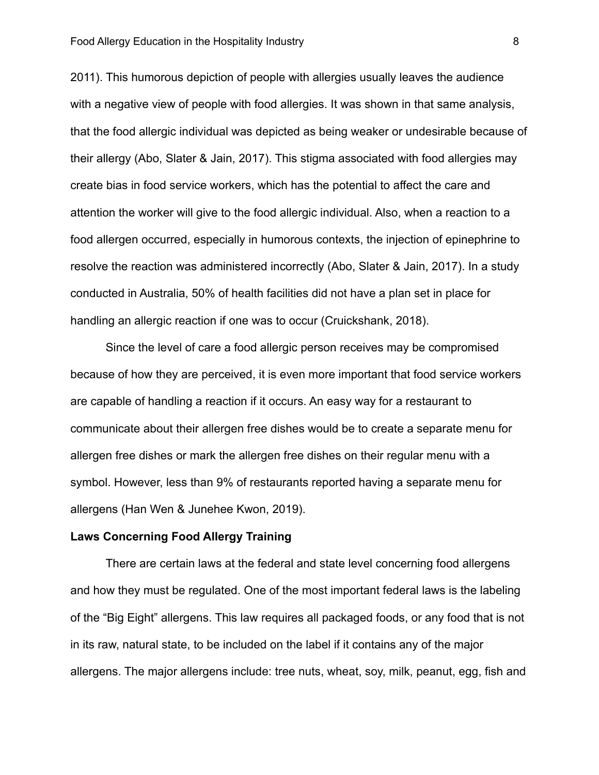2011). This humorous depiction of people with allergies usually leaves the audience with a negative view of people with food allergies. It was shown in that same analysis, that the food allergic individual was depicted as being weaker or undesirable because of their allergy (Abo, Slater & Jain, 2017). This stigma associated with food allergies may create bias in food service workers, which has the potential to affect the care and attention the worker will give to the food allergic individual. Also, when a reaction to a food allergen occurred, especially in humorous contexts, the injection of epinephrine to resolve the reaction was administered incorrectly (Abo, Slater & Jain, 2017). In a study conducted in Australia, 50% of health facilities did not have a plan set in place for handling an allergic reaction if one was to occur (Cruickshank, 2018).

Since the level of care a food allergic person receives may be compromised because of how they are perceived, it is even more important that food service workers are capable of handling a reaction if it occurs. An easy way for a restaurant to communicate about their allergen free dishes would be to create a separate menu for allergen free dishes or mark the allergen free dishes on their regular menu with a symbol. However, less than 9% of restaurants reported having a separate menu for allergens (Han Wen & Junehee Kwon, 2019).

#### **Laws Concerning Food Allergy Training**

There are certain laws at the federal and state level concerning food allergens and how they must be regulated. One of the most important federal laws is the labeling of the "Big Eight" allergens. This law requires all packaged foods, or any food that is not in its raw, natural state, to be included on the label if it contains any of the major allergens. The major allergens include: tree nuts, wheat, soy, milk, peanut, egg, fish and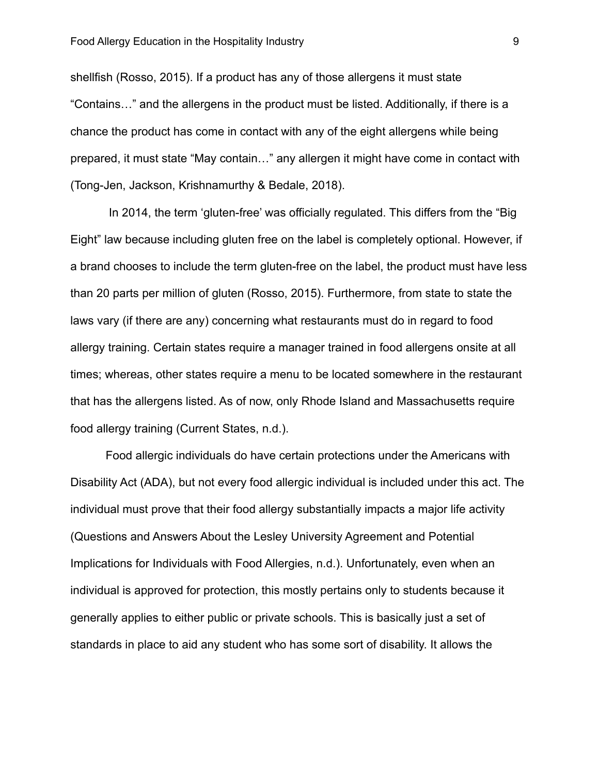shellfish (Rosso, 2015). If a product has any of those allergens it must state "Contains…" and the allergens in the product must be listed. Additionally, if there is a chance the product has come in contact with any of the eight allergens while being prepared, it must state "May contain…" any allergen it might have come in contact with (Tong-Jen, Jackson, Krishnamurthy & Bedale, 2018).

In 2014, the term 'gluten-free' was officially regulated. This differs from the "Big Eight" law because including gluten free on the label is completely optional. However, if a brand chooses to include the term gluten-free on the label, the product must have less than 20 parts per million of gluten (Rosso, 2015). Furthermore, from state to state the laws vary (if there are any) concerning what restaurants must do in regard to food allergy training. Certain states require a manager trained in food allergens onsite at all times; whereas, other states require a menu to be located somewhere in the restaurant that has the allergens listed. As of now, only Rhode Island and Massachusetts require food allergy training (Current States, n.d.).

Food allergic individuals do have certain protections under the Americans with Disability Act (ADA), but not every food allergic individual is included under this act. The individual must prove that their food allergy substantially impacts a major life activity (Questions and Answers About the Lesley University Agreement and Potential Implications for Individuals with Food Allergies, n.d.). Unfortunately, even when an individual is approved for protection, this mostly pertains only to students because it generally applies to either public or private schools. This is basically just a set of standards in place to aid any student who has some sort of disability. It allows the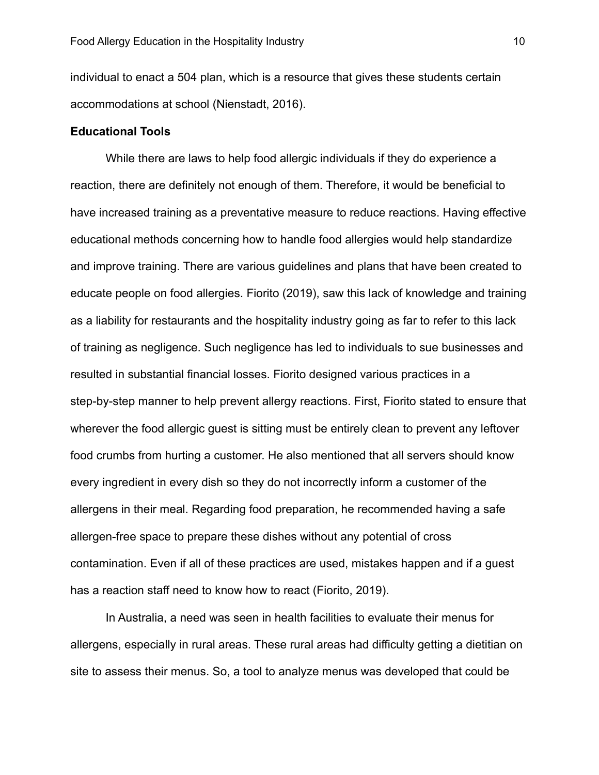individual to enact a 504 plan, which is a resource that gives these students certain accommodations at school (Nienstadt, 2016).

#### **Educational Tools**

While there are laws to help food allergic individuals if they do experience a reaction, there are definitely not enough of them. Therefore, it would be beneficial to have increased training as a preventative measure to reduce reactions. Having effective educational methods concerning how to handle food allergies would help standardize and improve training. There are various guidelines and plans that have been created to educate people on food allergies. Fiorito (2019), saw this lack of knowledge and training as a liability for restaurants and the hospitality industry going as far to refer to this lack of training as negligence. Such negligence has led to individuals to sue businesses and resulted in substantial financial losses. Fiorito designed various practices in a step-by-step manner to help prevent allergy reactions. First, Fiorito stated to ensure that wherever the food allergic guest is sitting must be entirely clean to prevent any leftover food crumbs from hurting a customer. He also mentioned that all servers should know every ingredient in every dish so they do not incorrectly inform a customer of the allergens in their meal. Regarding food preparation, he recommended having a safe allergen-free space to prepare these dishes without any potential of cross contamination. Even if all of these practices are used, mistakes happen and if a guest has a reaction staff need to know how to react (Fiorito, 2019).

In Australia, a need was seen in health facilities to evaluate their menus for allergens, especially in rural areas. These rural areas had difficulty getting a dietitian on site to assess their menus. So, a tool to analyze menus was developed that could be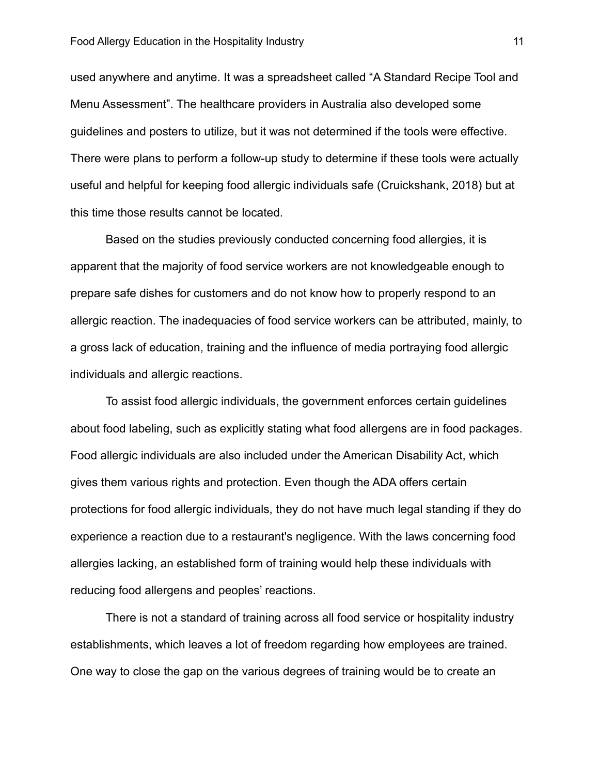used anywhere and anytime. It was a spreadsheet called "A Standard Recipe Tool and Menu Assessment". The healthcare providers in Australia also developed some guidelines and posters to utilize, but it was not determined if the tools were effective. There were plans to perform a follow-up study to determine if these tools were actually useful and helpful for keeping food allergic individuals safe (Cruickshank, 2018) but at this time those results cannot be located.

Based on the studies previously conducted concerning food allergies, it is apparent that the majority of food service workers are not knowledgeable enough to prepare safe dishes for customers and do not know how to properly respond to an allergic reaction. The inadequacies of food service workers can be attributed, mainly, to a gross lack of education, training and the influence of media portraying food allergic individuals and allergic reactions.

To assist food allergic individuals, the government enforces certain guidelines about food labeling, such as explicitly stating what food allergens are in food packages. Food allergic individuals are also included under the American Disability Act, which gives them various rights and protection. Even though the ADA offers certain protections for food allergic individuals, they do not have much legal standing if they do experience a reaction due to a restaurant's negligence. With the laws concerning food allergies lacking, an established form of training would help these individuals with reducing food allergens and peoples' reactions.

There is not a standard of training across all food service or hospitality industry establishments, which leaves a lot of freedom regarding how employees are trained. One way to close the gap on the various degrees of training would be to create an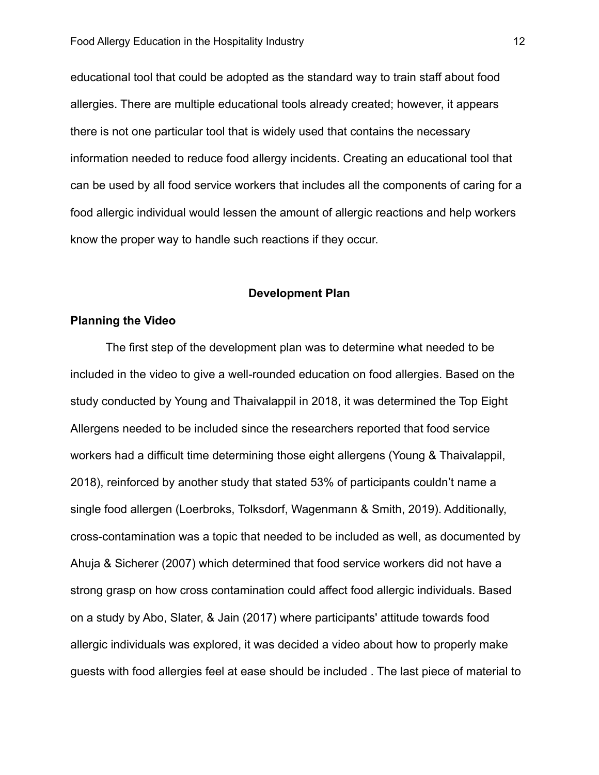educational tool that could be adopted as the standard way to train staff about food allergies. There are multiple educational tools already created; however, it appears there is not one particular tool that is widely used that contains the necessary information needed to reduce food allergy incidents. Creating an educational tool that can be used by all food service workers that includes all the components of caring for a food allergic individual would lessen the amount of allergic reactions and help workers know the proper way to handle such reactions if they occur.

#### **Development Plan**

#### <span id="page-12-0"></span>**Planning the Video**

The first step of the development plan was to determine what needed to be included in the video to give a well-rounded education on food allergies. Based on the study conducted by Young and Thaivalappil in 2018, it was determined the Top Eight Allergens needed to be included since the researchers reported that food service workers had a difficult time determining those eight allergens (Young & Thaivalappil, 2018), reinforced by another study that stated 53% of participants couldn't name a single food allergen (Loerbroks, Tolksdorf, Wagenmann & Smith, 2019). Additionally, cross-contamination was a topic that needed to be included as well, as documented by Ahuja & Sicherer (2007) which determined that food service workers did not have a strong grasp on how cross contamination could affect food allergic individuals. Based on a study by Abo, Slater, & Jain (2017) where participants' attitude towards food allergic individuals was explored, it was decided a video about how to properly make guests with food allergies feel at ease should be included . The last piece of material to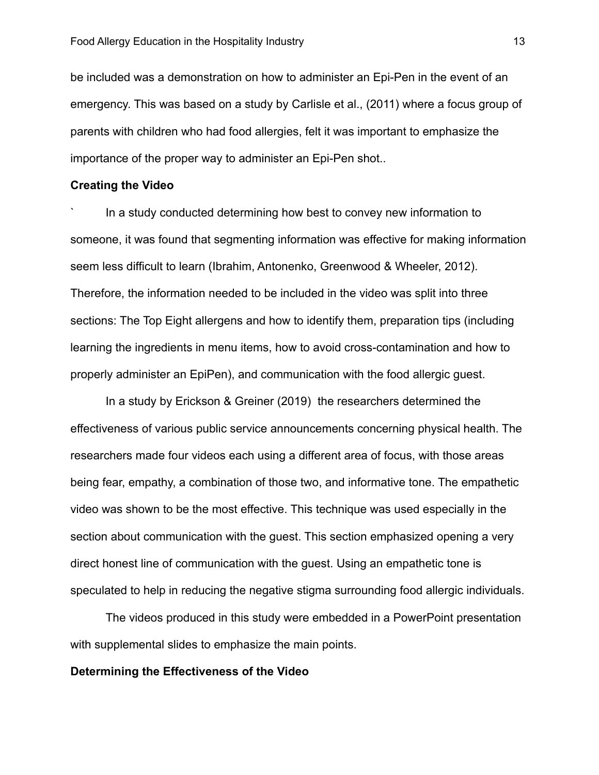be included was a demonstration on how to administer an Epi-Pen in the event of an emergency. This was based on a study by Carlisle et al., (2011) where a focus group of parents with children who had food allergies, felt it was important to emphasize the importance of the proper way to administer an Epi-Pen shot..

#### **Creating the Video**

` In a study conducted determining how best to convey new information to someone, it was found that segmenting information was effective for making information seem less difficult to learn (Ibrahim, Antonenko, Greenwood & Wheeler, 2012). Therefore, the information needed to be included in the video was split into three sections: The Top Eight allergens and how to identify them, preparation tips (including learning the ingredients in menu items, how to avoid cross-contamination and how to properly administer an EpiPen), and communication with the food allergic guest.

In a study by Erickson & Greiner (2019) the researchers determined the effectiveness of various public service announcements concerning physical health. The researchers made four videos each using a different area of focus, with those areas being fear, empathy, a combination of those two, and informative tone. The empathetic video was shown to be the most effective. This technique was used especially in the section about communication with the guest. This section emphasized opening a very direct honest line of communication with the guest. Using an empathetic tone is speculated to help in reducing the negative stigma surrounding food allergic individuals.

The videos produced in this study were embedded in a PowerPoint presentation with supplemental slides to emphasize the main points.

#### **Determining the Effectiveness of the Video**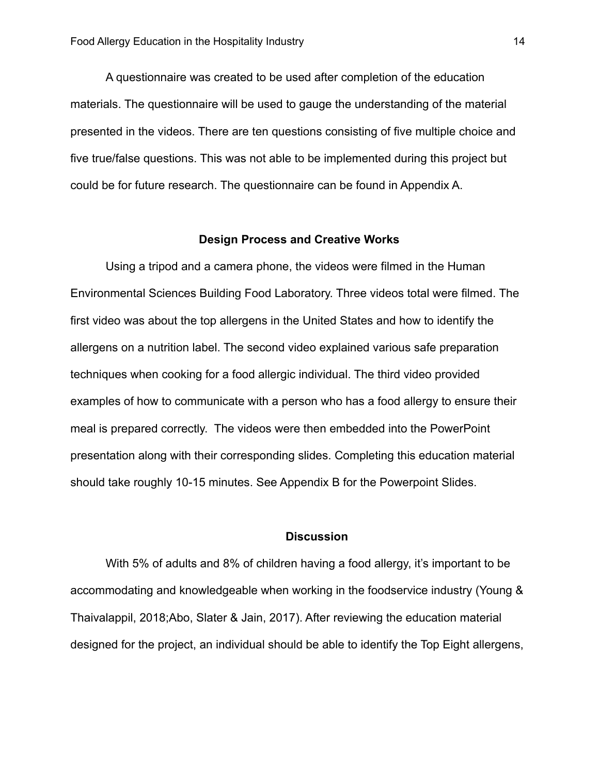A questionnaire was created to be used after completion of the education materials. The questionnaire will be used to gauge the understanding of the material presented in the videos. There are ten questions consisting of five multiple choice and five true/false questions. This was not able to be implemented during this project but could be for future research. The questionnaire can be found in Appendix A.

#### **Design Process and Creative Works**

<span id="page-14-0"></span>Using a tripod and a camera phone, the videos were filmed in the Human Environmental Sciences Building Food Laboratory. Three videos total were filmed. The first video was about the top allergens in the United States and how to identify the allergens on a nutrition label. The second video explained various safe preparation techniques when cooking for a food allergic individual. The third video provided examples of how to communicate with a person who has a food allergy to ensure their meal is prepared correctly. The videos were then embedded into the PowerPoint presentation along with their corresponding slides. Completing this education material should take roughly 10-15 minutes. See Appendix B for the Powerpoint Slides.

#### **Discussion**

<span id="page-14-1"></span>With 5% of adults and 8% of children having a food allergy, it's important to be accommodating and knowledgeable when working in the foodservice industry (Young & Thaivalappil, 2018;Abo, Slater & Jain, 2017). After reviewing the education material designed for the project, an individual should be able to identify the Top Eight allergens,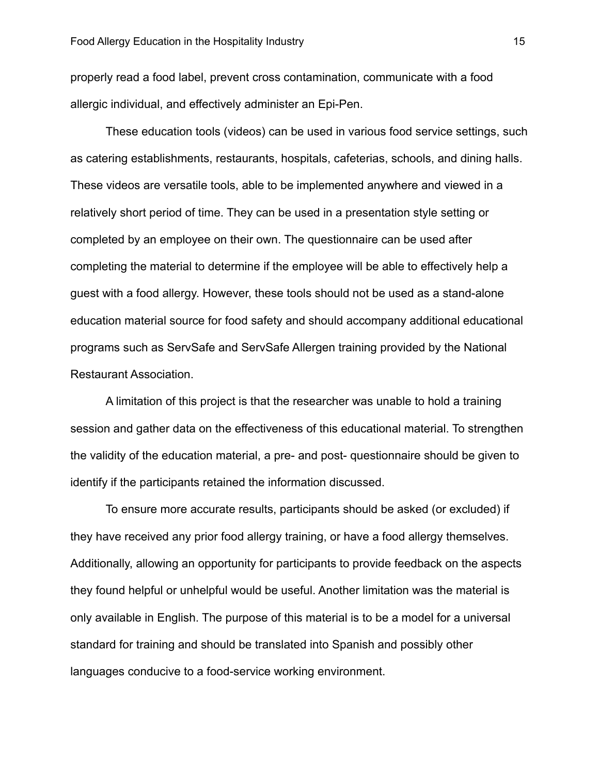properly read a food label, prevent cross contamination, communicate with a food allergic individual, and effectively administer an Epi-Pen.

These education tools (videos) can be used in various food service settings, such as catering establishments, restaurants, hospitals, cafeterias, schools, and dining halls. These videos are versatile tools, able to be implemented anywhere and viewed in a relatively short period of time. They can be used in a presentation style setting or completed by an employee on their own. The questionnaire can be used after completing the material to determine if the employee will be able to effectively help a guest with a food allergy. However, these tools should not be used as a stand-alone education material source for food safety and should accompany additional educational programs such as ServSafe and ServSafe Allergen training provided by the National Restaurant Association.

A limitation of this project is that the researcher was unable to hold a training session and gather data on the effectiveness of this educational material. To strengthen the validity of the education material, a pre- and post- questionnaire should be given to identify if the participants retained the information discussed.

To ensure more accurate results, participants should be asked (or excluded) if they have received any prior food allergy training, or have a food allergy themselves. Additionally, allowing an opportunity for participants to provide feedback on the aspects they found helpful or unhelpful would be useful. Another limitation was the material is only available in English. The purpose of this material is to be a model for a universal standard for training and should be translated into Spanish and possibly other languages conducive to a food-service working environment.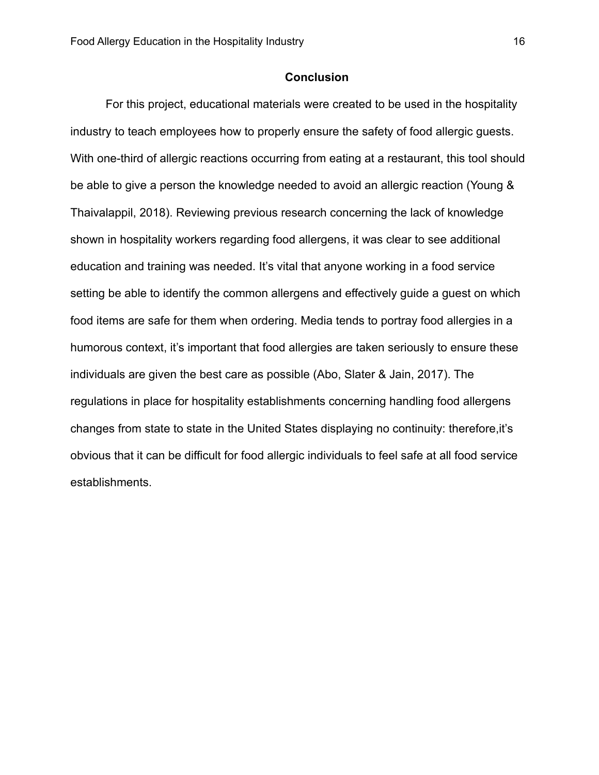#### **Conclusion**

<span id="page-16-0"></span>For this project, educational materials were created to be used in the hospitality industry to teach employees how to properly ensure the safety of food allergic guests. With one-third of allergic reactions occurring from eating at a restaurant, this tool should be able to give a person the knowledge needed to avoid an allergic reaction (Young & Thaivalappil, 2018). Reviewing previous research concerning the lack of knowledge shown in hospitality workers regarding food allergens, it was clear to see additional education and training was needed. It's vital that anyone working in a food service setting be able to identify the common allergens and effectively guide a guest on which food items are safe for them when ordering. Media tends to portray food allergies in a humorous context, it's important that food allergies are taken seriously to ensure these individuals are given the best care as possible (Abo, Slater & Jain, 2017). The regulations in place for hospitality establishments concerning handling food allergens changes from state to state in the United States displaying no continuity: therefore,it's obvious that it can be difficult for food allergic individuals to feel safe at all food service establishments.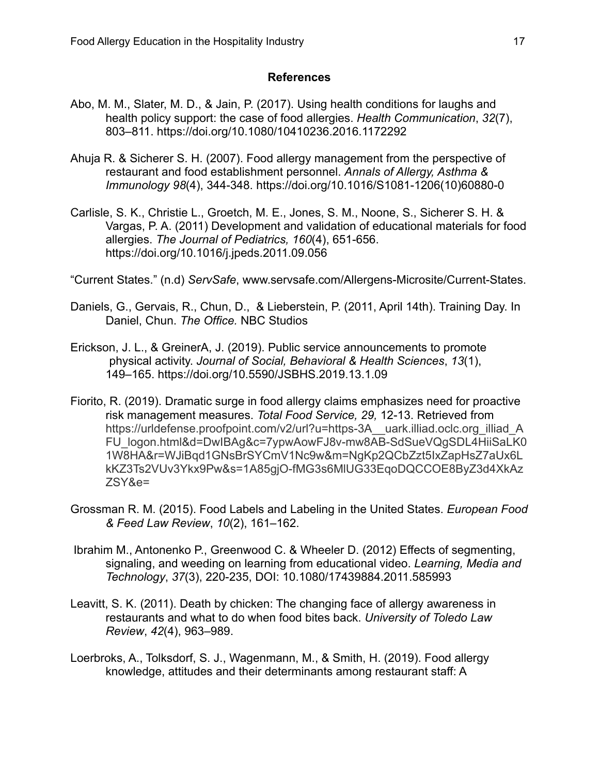#### **References**

- <span id="page-17-0"></span>Abo, M. M., Slater, M. D., & Jain, P. (2017). Using health conditions for laughs and health policy support: the case of food allergies. *Health Communication*, *32*(7), 803–811. <https://doi.org/10.1080/10410236.2016.1172292>
- Ahuja R. & Sicherer S. H. (2007). Food allergy management from the perspective of restaurant and food establishment personnel. *Annals of Allergy, Asthma & Immunology 98*(4), 344-348. [https://doi.org/10.1016/S1081-1206\(10\)60880-0](https://doi.org/10.1016/S1081-1206(10)60880-0)
- Carlisle, S. K., Christie L., Groetch, M. E., Jones, S. M., Noone, S., Sicherer S. H. & Vargas, P. A. (2011) Development and validation of educational materials for food allergies. *The Journal of Pediatrics, 160*(4), 651-656. <https://doi.org/10.1016/j.jpeds.2011.09.056>
- "Current States." (n.d) *ServSafe*, [www.servsafe.com/Allergens-Microsite/Current-States.](http://www.servsafe.com/Allergens-Microsite/Current-States)
- Daniels, G., Gervais, R., Chun, D., & Lieberstein, P. (2011, April 14th). Training Day. In Daniel, Chun. *The Office.* NBC Studios
- Erickson, J. L., & GreinerA, J. (2019). Public service announcements to promote physical activity. *Journal of Social, Behavioral & Health Sciences*, *13*(1), 149–165. <https://doi.org/10.5590/JSBHS.2019.13.1.09>
- Fiorito, R. (2019). Dramatic surge in food allergy claims emphasizes need for proactive risk management measures. *Total Food Service, 29,* 12-13. Retrieved from [https://urldefense.proofpoint.com/v2/url?u=https-3A\\_\\_uark.illiad.oclc.org\\_illiad\\_A](https://urldefense.proofpoint.com/v2/url?u=https-3A__uark.illiad.oclc.org_illiad_AFU_logon.html&d=DwIBAg&c=7ypwAowFJ8v-mw8AB-SdSueVQgSDL4HiiSaLK01W8HA&r=WJiBqd1GNsBrSYCmV1Nc9w&m=NgKp2QCbZzt5IxZapHsZ7aUx6LkKZ3Ts2VUv3Ykx9Pw&s=1A85gjO-fMG3s6MlUG33EqoDQCCOE8ByZ3d4XkAzZSY&e=) [FU\\_logon.html&d=DwIBAg&c=7ypwAowFJ8v-mw8AB-SdSueVQgSDL4HiiSaLK0](https://urldefense.proofpoint.com/v2/url?u=https-3A__uark.illiad.oclc.org_illiad_AFU_logon.html&d=DwIBAg&c=7ypwAowFJ8v-mw8AB-SdSueVQgSDL4HiiSaLK01W8HA&r=WJiBqd1GNsBrSYCmV1Nc9w&m=NgKp2QCbZzt5IxZapHsZ7aUx6LkKZ3Ts2VUv3Ykx9Pw&s=1A85gjO-fMG3s6MlUG33EqoDQCCOE8ByZ3d4XkAzZSY&e=) [1W8HA&r=WJiBqd1GNsBrSYCmV1Nc9w&m=NgKp2QCbZzt5IxZapHsZ7aUx6L](https://urldefense.proofpoint.com/v2/url?u=https-3A__uark.illiad.oclc.org_illiad_AFU_logon.html&d=DwIBAg&c=7ypwAowFJ8v-mw8AB-SdSueVQgSDL4HiiSaLK01W8HA&r=WJiBqd1GNsBrSYCmV1Nc9w&m=NgKp2QCbZzt5IxZapHsZ7aUx6LkKZ3Ts2VUv3Ykx9Pw&s=1A85gjO-fMG3s6MlUG33EqoDQCCOE8ByZ3d4XkAzZSY&e=) [kKZ3Ts2VUv3Ykx9Pw&s=1A85gjO-fMG3s6MlUG33EqoDQCCOE8ByZ3d4XkAz](https://urldefense.proofpoint.com/v2/url?u=https-3A__uark.illiad.oclc.org_illiad_AFU_logon.html&d=DwIBAg&c=7ypwAowFJ8v-mw8AB-SdSueVQgSDL4HiiSaLK01W8HA&r=WJiBqd1GNsBrSYCmV1Nc9w&m=NgKp2QCbZzt5IxZapHsZ7aUx6LkKZ3Ts2VUv3Ykx9Pw&s=1A85gjO-fMG3s6MlUG33EqoDQCCOE8ByZ3d4XkAzZSY&e=) [ZSY&e=](https://urldefense.proofpoint.com/v2/url?u=https-3A__uark.illiad.oclc.org_illiad_AFU_logon.html&d=DwIBAg&c=7ypwAowFJ8v-mw8AB-SdSueVQgSDL4HiiSaLK01W8HA&r=WJiBqd1GNsBrSYCmV1Nc9w&m=NgKp2QCbZzt5IxZapHsZ7aUx6LkKZ3Ts2VUv3Ykx9Pw&s=1A85gjO-fMG3s6MlUG33EqoDQCCOE8ByZ3d4XkAzZSY&e=)
- Grossman R. M. (2015). Food Labels and Labeling in the United States. *European Food & Feed Law Review*, *10*(2), 161–162.
- Ibrahim M., Antonenko P., Greenwood C. & Wheeler D. (2012) Effects of segmenting, signaling, and weeding on learning from educational video. *Learning, Media and Technology*, *37*(3), 220-235, DOI: 10.1080/17439884.2011.585993
- Leavitt, S. K. (2011). Death by chicken: The changing face of allergy awareness in restaurants and what to do when food bites back. *University of Toledo Law Review*, *42*(4), 963–989.
- Loerbroks, A., Tolksdorf, S. J., Wagenmann, M., & Smith, H. (2019). Food allergy knowledge, attitudes and their determinants among restaurant staff: A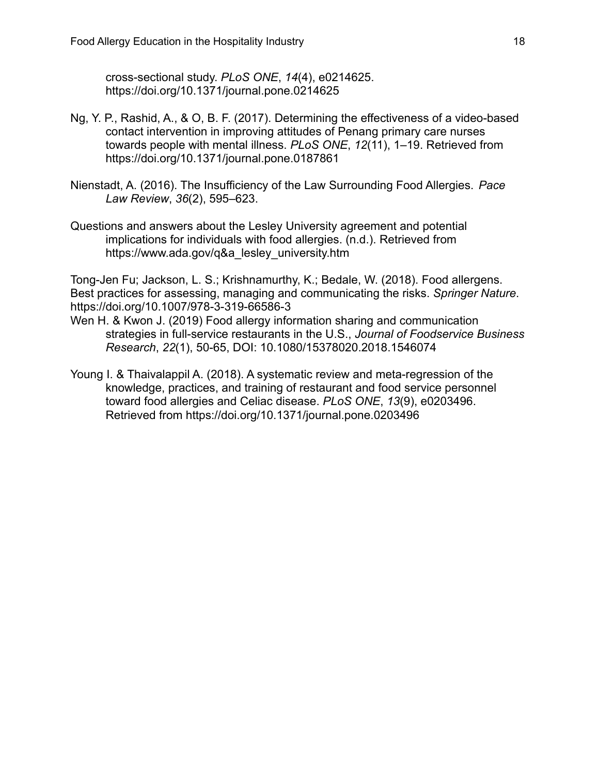cross-sectional study. *PLoS ONE*, *14*(4), e0214625. <https://doi.org/10.1371/journal.pone.0214625>

- Ng, Y. P., Rashid, A., & O, B. F. (2017). Determining the effectiveness of a video-based contact intervention in improving attitudes of Penang primary care nurses towards people with mental illness. *PLoS ONE*, *12*(11), 1–19. Retrieved from <https://doi.org/10.1371/journal.pone.0187861>
- Nienstadt, A. (2016). The Insufficiency of the Law Surrounding Food Allergies. *Pace Law Review*, *36*(2), 595–623.
- Questions and answers about the Lesley University agreement and potential implications for individuals with food allergies. (n.d.). Retrieved from [https://www.ada.gov/q&a\\_lesley\\_university.htm](https://www.ada.gov/q&a_lesley_university.htm)

Tong-Jen Fu; Jackson, L. S.; Krishnamurthy, K.; Bedale, W. (2018). Food allergens. Best practices for assessing, managing and communicating the risks. *Springer Nature*. <https://doi.org/10.1007/978-3-319-66586-3>

- Wen H. & Kwon J. (2019) Food allergy information sharing and communication strategies in full-service restaurants in the U.S., *Journal of Foodservice Business Research*, *22*(1), 50-65, DOI: 10.1080/15378020.2018.1546074
- Young I. & Thaivalappil A. (2018). A systematic review and meta-regression of the knowledge, practices, and training of restaurant and food service personnel toward food allergies and Celiac disease. *PLoS ONE*, *13*(9), e0203496. Retrieved from <https://doi.org/10.1371/journal.pone.0203496>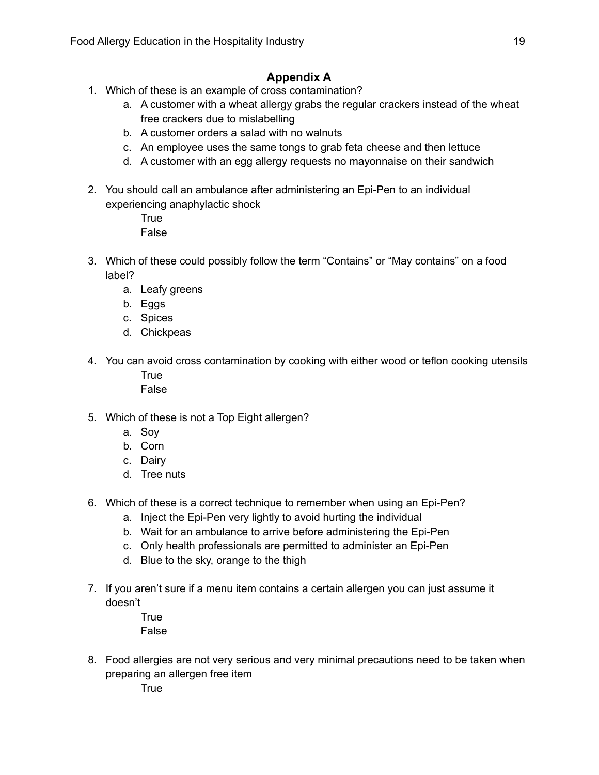### **Appendix A**

- <span id="page-19-0"></span>1. Which of these is an example of cross contamination?
	- a. A customer with a wheat allergy grabs the regular crackers instead of the wheat free crackers due to mislabelling
	- b. A customer orders a salad with no walnuts
	- c. An employee uses the same tongs to grab feta cheese and then lettuce
	- d. A customer with an egg allergy requests no mayonnaise on their sandwich
- 2. You should call an ambulance after administering an Epi-Pen to an individual experiencing anaphylactic shock

**True** False

- 3. Which of these could possibly follow the term "Contains" or "May contains" on a food label?
	- a. Leafy greens
	- b. Eggs
	- c. Spices
	- d. Chickpeas
- 4. You can avoid cross contamination by cooking with either wood or teflon cooking utensils **True** False
- 5. Which of these is not a Top Eight allergen?
	- a. Soy
	- b. Corn
	- c. Dairy
	- d. Tree nuts
- 6. Which of these is a correct technique to remember when using an Epi-Pen?
	- a. Inject the Epi-Pen very lightly to avoid hurting the individual
	- b. Wait for an ambulance to arrive before administering the Epi-Pen
	- c. Only health professionals are permitted to administer an Epi-Pen
	- d. Blue to the sky, orange to the thigh
- 7. If you aren't sure if a menu item contains a certain allergen you can just assume it doesn't
	- **True** False
- 8. Food allergies are not very serious and very minimal precautions need to be taken when preparing an allergen free item

**True**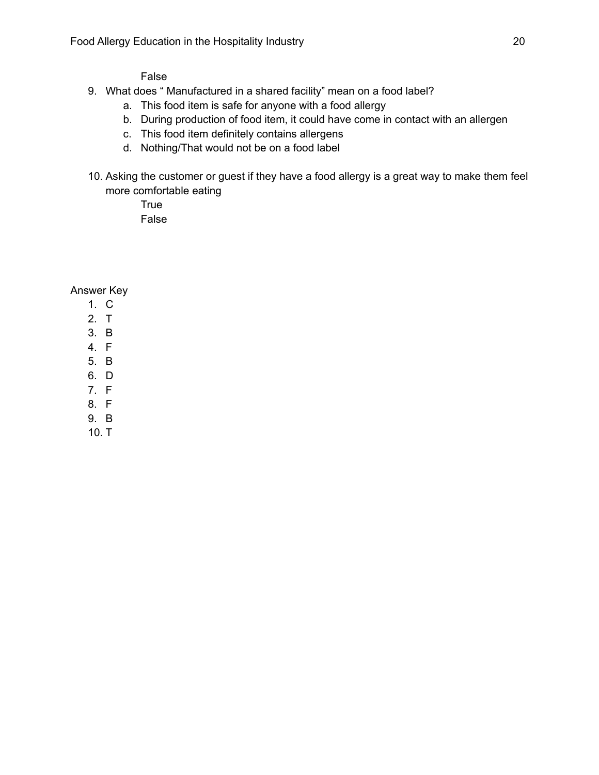False

- 9. What does " Manufactured in a shared facility" mean on a food label?
	- a. This food item is safe for anyone with a food allergy
	- b. During production of food item, it could have come in contact with an allergen
	- c. This food item definitely contains allergens
	- d. Nothing/That would not be on a food label
- 10. Asking the customer or guest if they have a food allergy is a great way to make them feel more comfortable eating
	- True False

Answer Key

- 1. C
- 2. T
- 3. B
- 4. F
- 5. B
- 6. D
- 7. F
- 8. F
- 9. B
- 10. T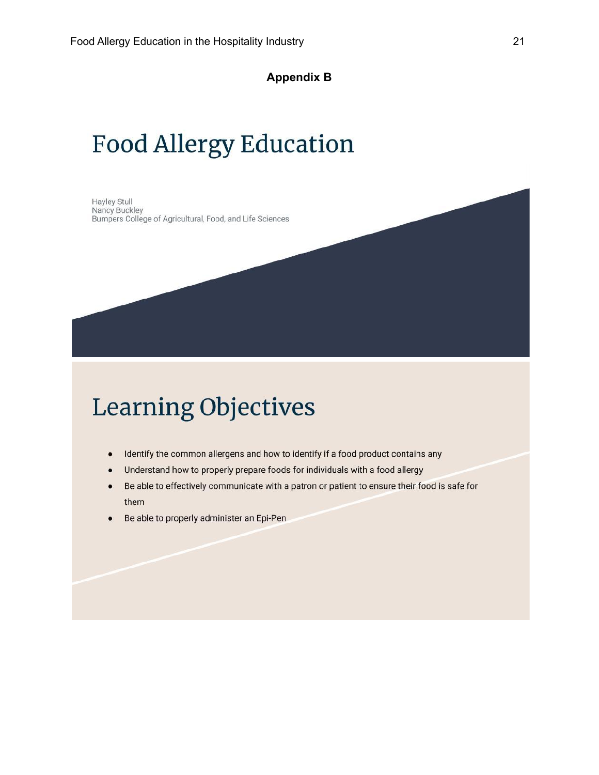**Appendix B**

# **Food Allergy Education**

Hayley Stull Nancy Buckley Bumpers College of Agricultural, Food, and Life Sciences

# **Learning Objectives**

- Identify the common allergens and how to identify if a food product contains any  $\bullet$
- Understand how to properly prepare foods for individuals with a food allergy  $\bullet$
- Be able to effectively communicate with a patron or patient to ensure their food is safe for  $\bullet$ them
- Be able to properly administer an Epi-Pen  $\bullet$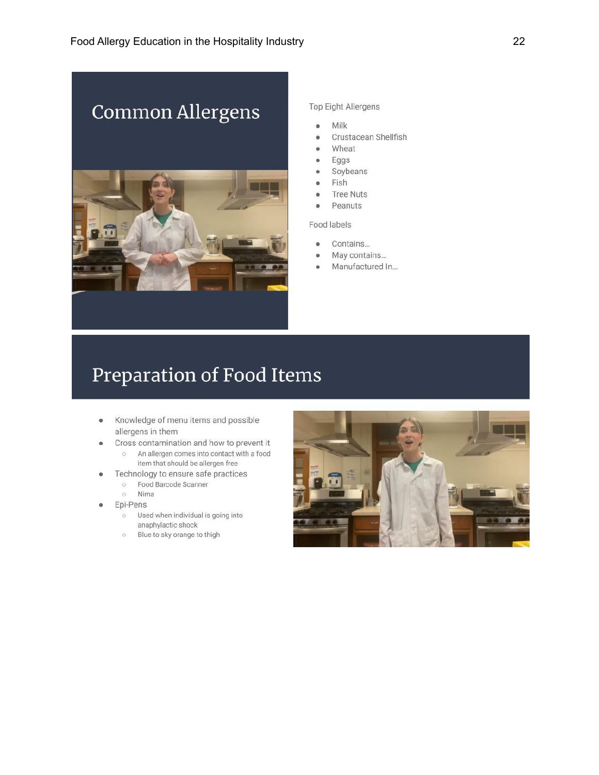



#### Top Eight Allergens

- Milk  $\bullet$
- Crustacean Shellfish ö
- Wheat  $\ddot{\bullet}$
- ö Eggs
- ö Soybeans
- Fish  $\ddot{\phantom{a}}$
- ö **Tree Nuts**
- Peanuts  $\ddot{\bullet}$

Food labels

- Contains...  $\ddot{\bullet}$
- May contains...  $\ddot{\bullet}$
- Manufactured In... ö

## Preparation of Food Items

- Knowledge of menu items and possible  $\bullet$ allergens in them
- Cross contamination and how to prevent it  $\blacksquare$ o An allergen comes into contact with a food
	- item that should be allergen free
	- Technology to ensure safe practices
		- **Eood Barcode Scanner** o Nima
- Epi-Pens
	- Used when individual is going into anaphylactic shock
	- **Blue to sky orange to thigh**